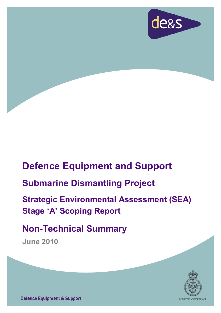

# **Defence Equipment and Support**

# **Submarine Dismantling Project**

# **Strategic Environmental Assessment (SEA) Stage 'A' Scoping Report**

# **Non-Technical Summary**

**June 2010** 



**Defence Equipment & Support**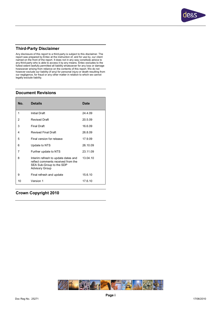

#### **Third-Party Disclaimer**

Any disclosure of this report to a third-party is subject to this disclaimer. The report was prepared by Entec at the instruction of, and for use by, our client named on the front of the report. It does not in any way constitute advice to<br>any third-party who is able to access it by any means. Entec excludes to the<br>fullest extent lawfully permitted all liability whatsoever for any howsoever arising from reliance on the contents of this report. We do not however exclude our liability (if any) for personal injury or death resulting from our negligence, for fraud or any other matter in relation to which we cannot legally exclude liability.

#### **Document Revisions**

| No. | <b>Details</b>                                                                                                                 | <b>Date</b> |
|-----|--------------------------------------------------------------------------------------------------------------------------------|-------------|
| 1   | <b>Initial Draft</b>                                                                                                           | 24.4.09     |
| 2   | <b>Revised Draft</b>                                                                                                           | 20.5.09     |
| 3   | <b>Final Draft</b>                                                                                                             | 16.6.09     |
| 4   | <b>Revised Final Draft</b>                                                                                                     | 26.8.09     |
| 5   | Final version for release                                                                                                      | 17.9.09     |
| 6   | Update to NTS                                                                                                                  | 26.10.09    |
| 7   | Further update to NTS                                                                                                          | 23.11.09    |
| 8   | Interim refresh to update dates and<br>reflect comments received from the<br>SEA Sub-Group to the SDP<br><b>Advisory Group</b> | 13 04 10    |
| 9   | Final refresh and update                                                                                                       | 15.6.10     |
| 10  | Version 1                                                                                                                      | 17610       |

#### **Crown Copyright 2010**

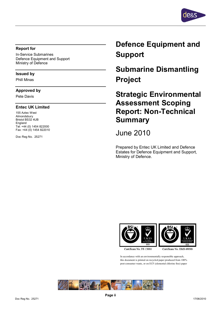

#### **Report for**

In-Service Submarines Defence Equipment and Support Ministry of Defence

#### **Issued by**

Phill Minas

#### **Approved by**

Pete Davis

#### **Entec UK Limited**

155 Aztec West Almondsbury Bristol BS32 4UB England Tel: +44 (0) 1454 822000 Fax: +44 (0) 1454 822010

Doc Reg No. 25271

## **Defence Equipment and Support**

**Submarine Dismantling Project** 

**Strategic Environmental Assessment Scoping Report: Non-Technical Summary** 

June 2010

Prepared by Entec UK Limited and Defence Estates for Defence Equipment and Support, Ministry of Defence.





Certificate No. FS 13881

Certificate No. EMS 69090

In accordance with an environmentally responsible approach, this document is printed on recycled paper produced from 100% post-consumer waste, or on ECF (elemental chlorine free) paper

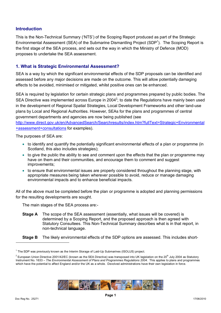#### **Introduction**

This is the Non-Technical Summary ('NTS') of the Scoping Report produced as part of the Strategic Environmental Assessment (SEA) of the Submarine Dismantling Project (SDP<sup>1</sup>). The Scoping Report is the first stage of the SEA process, and sets out the way in which the Ministry of Defence (MOD) proposes to undertake the SEA assessment.

#### **1. What is Strategic Environmental Assessment?**

SEA is a way by which the significant environmental effects of the SDP proposals can be identified and assessed before any major decisions are made on the outcome. This will allow potentially damaging effects to be avoided, minimised or mitigated, whilst positive ones can be enhanced.

SEA is required by legislation for certain strategic plans and programmes prepared by public bodies. The SEA Directive was implemented across Europe in 2004<sup>2</sup>; to date the Regulations have mainly been used in the development of Regional Spatial Strategies, Local Development Frameworks and other land-use plans by Local and Regional Authorities. However, SEAs for the plans and programmes of central government departments and agencies are now being published (see

<http://www.direct.gov.uk/en/AdvancedSearch/Searchresults/index.htm?fullText=Strategic+Environmental> +assessment+consultations for examples).

The purposes of SEA are:

- · to identify and quantify the potentially significant environmental effects of a plan or programme (in Scotland, this also includes strategies):
- to give the public the ability to see and comment upon the effects that the plan or programme may have on them and their communities, and encourage them to comment and suggest improvements;
- · to ensure that environmental issues are properly considered throughout the planning stage, with appropriate measures being taken wherever possible to avoid, reduce or manage damaging environmental impacts and to enhance beneficial impacts.

All of the above must be completed before the plan or programme is adopted and planning permissions for the resulting developments are sought.

The main stages of the SEA process are:-

- **Stage A** The scope of the SEA assessment (essentially, what issues will be covered) is determined by a Scoping Report, and the proposed approach is then agreed with Statutory Consultees. This Non-Technical Summary describes what is in that report, in non-technical language.
- **Stage B** The likely environmental effects of the SDP options are assessed. This includes short-

 $^2$  European Union Directive 2001/42/EC (known as the SEA Directive) was transposed into UK legislation on the 20<sup>th</sup> July 2004 as Statutory Instrument No. 1633 – *The Environmental Assessment of Plans and Programmes Regulations 2004*. This applies to plans and programmes which have the potential to affect England and/or the UK as a whole. Devolved administrations have their own legislation in force.



<sup>&</sup>lt;sup>1</sup> The SDP was previously known as the Interim Storage of Laid-Up Submarines (ISOLUS) project.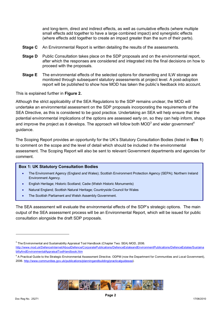and long-term, direct and indirect effects, as well as cumulative effects (where multiple small effects add together to have a large combined impact) and synergistic effects (where effects add together to create an impact greater than the sum of their parts).

- **Stage C** An Environmental Report is written detailing the results of the assessments.
- **Stage D** Public Consultation takes place on the SDP proposals and on the environmental report, after which the responses are considered and integrated into the final decisions on how to proceed with the proposals.
- **Stage E** The environmental effects of the selected options for dismantling and ILW storage are monitored through subsequent statutory assessments at project level. A post-adoption report will be published to show how MOD has taken the public's feedback into account.

This is explained further in **Figure 2.**

Although the strict applicability of the SEA Regulations to the SDP remains unclear, the MOD will undertake an environmental assessment on the SDP proposals incorporating the requirements of the SEA Directive, as this is considered to be good practice. Undertaking an SEA will help ensure that the potential environmental implications of the options are assessed early on, so they can help inform, shape and improve the project as it develops. The approach will follow both MOD<sup>3</sup> and wider government<sup>4</sup> guidance.

The Scoping Report provides an opportunity for the UK's Statutory Consultation Bodies (listed in **Box 1**) to comment on the scope and the level of detail which should be included in the environmental assessment. The Scoping Report will also be sent to relevant Government departments and agencies for comment.

#### **Box 1: UK Statutory Consultation Bodies**

- · The Environment Agency (England and Wales); Scottish Environment Protection Agency (SEPA); Northern Ireland Environment Agency.
- · English Heritage; Historic Scotland; Cadw (Welsh Historic Monuments)
- Natural England; Scottish Natural Heritage; Countryside Council for Wales
- The Scottish Parliament and Welsh Assembly Government.

The SEA assessment will evaluate the environmental effects of the SDP's strategic options. The main output of the SEA assessment process will be an Environmental Report, which will be issued for public consultation alongside the draft SDP proposals.



 $^3$  The Environmental and Sustainability Appraisal Tool Handbook (Chapter Two: SEA) MOD, 2006.

<http://www.mod.uk/DefenceInternet/AboutDefence/CorporatePublications/DefenceEstateandEnvironmentPublications/DefenceEstates/Sustaina> biltyAndEnvironmentalAppraisalToolHandbook.htm

<sup>&</sup>lt;sup>4</sup> A Practical Guide to the Strategic Environmental Assessment Directive. ODPM (now the Department for Communities and Local Government), 2006. <http://www.communities.gov.uk/publications/planningandbuilding/practicalguidesea>).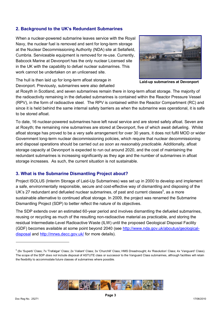#### **2. Background to the UK's Redundant Submarines**

When a nuclear-powered submarine leaves service with the Royal Navy, the nuclear fuel is removed and sent for long-term storage at the Nuclear Decommissioning Authority (NDA) site at Sellafield, Cumbria. Serviceable equipment is removed for re-use. Currently, Babcock Marine at Devonport has the only nuclear Licensed site in the UK with the capability to defuel nuclear submarines. This work cannot be undertaken on an unlicensed site.



The hull is then laid up for long-term afloat storage in Devonport. Previously, submarines were also defueled

**Laid-up submarines at Devonport**

at Rosyth in Scotland, and seven submarines remain there in long-term afloat storage. The majority of the radioactivity remaining in the defueled submarines is contained within the Reactor Pressure Vessel (RPV), in the form of radioactive steel. The RPV is contained within the Reactor Compartment (RC) and since it is held behind the same internal safety barriers as when the submarine was operational, it is safe to be stored afloat.

To date, 16 nuclear-powered submarines have left naval service and are stored safely afloat. Seven are at Rosyth; the remaining nine submarines are stored at Devonport, five of which await defueling. Whilst afloat storage has proved to be a very safe arrangement for over 30 years, it does not fulfil MOD or wider Government long-term nuclear decommissioning policies, which require that nuclear decommissioning and disposal operations should be carried out *as soon as reasonably practicable*. Additionally, afloat storage capacity at Devonport is expected to run out around 2020, and the cost of maintaining the redundant submarines is increasing significantly as they age and the number of submarines in afloat storage increases. As such, the current situation is not sustainable.

#### **3. What is the Submarine Dismantling Project about?**

Project ISOLUS (Interim Storage of Laid-Up Submarines) was set up in 2000 to develop and implement a safe, environmentally responsible, secure and cost-effective way of dismantling and disposing of the UK's 27 redundant and defueled nuclear submarines, of past and current classes<sup>5</sup>, as a more sustainable alternative to continued afloat storage. In 2009, the project was renamed the Submarine Dismantling Project (SDP) to better reflect the nature of its objectives.

The SDP extends over an estimated 60-year period and involves dismantling the defueled submarines, reusing or recycling as much of the resulting non-radioactive material as practicable, and storing the residual Intermediate-Level Radioactive Waste (ILW) until the proposed Geological Disposal Facility (GDF) becomes available at some point beyond 2040 (see <http://www.nda.gov.uk/aboutus/geological>disposal and <http://mrws.decc.gov.uk/> for more details).



<sup>5</sup> (6x 'Superb' Class; 7x 'Trafalgar' Class; 2x 'Valiant' Class; 3x 'Churchill' Class; HMS Dreadnought; 4x 'Resolution' Class; 4x 'Vanguard' Class). The scope of the SDP *does not* include disposal of ASTUTE class or successor to the Vanguard Class submarines, although facilities will retain the flexibility to accommodate future classes of submarines where possible.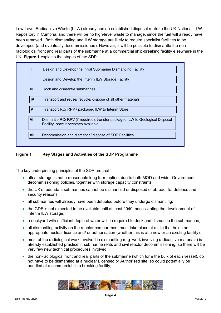Low-Level Radioactive Waste (LLW) already has an established disposal route to the UK National LLW Repository in Cumbria, and there will be no high-level waste to manage, since the fuel will already have been removed. Both dismantling and ILW storage are likely to require specialist facilities to be developed (and eventually decommissioned). However, it will be possible to dismantle the nonradiological front and rear parts of the submarine at a commercial ship-breaking facility elsewhere in the UK. **Figure 1** explains the stages of the SDP.

|             | Design and Develop the initial Submarine Dismantling Facility                                                        |
|-------------|----------------------------------------------------------------------------------------------------------------------|
| Ш           | Design and Develop the Interim ILW Storage Facility                                                                  |
| Ш           | Dock and dismantle submarines                                                                                        |
| IV          | Transport and reuse/ recycle/ dispose of all other materials                                                         |
| $\mathbf v$ | Transport RC/ RPV / packaged ILW to Interim Store                                                                    |
| <b>VI</b>   | Dismantle RC/ RPV (if required); transfer packaged ILW to Geological Disposal<br>Facility, once it becomes available |
| VII         | Decommission and dismantle/ dispose of SDP Facilities                                                                |

#### **Figure 1 Key Stages and Activities of the SDP Programme**

The key underpinning principles of the SDP are that:

- afloat storage is not a reasonable long term option, due to both MOD and wider Government decommissioning policies, together with storage capacity constraints;
- · the UK's redundant submarines cannot be dismantled or disposed of abroad, for defence and security reasons;
- all submarines will already have been defueled before they undergo dismantling:
- · the GDF is not expected to be available until at least 2040, necessitating the development of interim ILW storage;
- a dockyard with sufficient depth of water will be required to dock and dismantle the submarines;
- all dismantling activity on the reactor compartment must take place at a site that holds an appropriate nuclear licence and/ or authorisation (whether this is at a new or an existing facility);
- most of the radiological work involved in dismantling (e.g. work involving radioactive materials) is already established practice in submarine refits and civil reactor decommissioning, so there will be very few new technical procedures involved;
- the non-radiological front and rear parts of the submarine (which form the bulk of each vessel), do not have to be dismantled at a nuclear Licensed or Authorised site, so could potentially be handled at a commercial ship breaking facility;

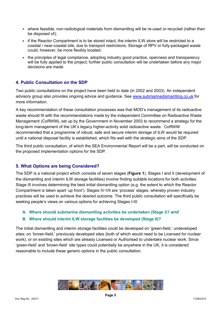- · where feasible, non-radiological materials from dismantling will be re-used or recycled (rather than be disposed of);
- if the Reactor Compartment is to be stored intact, the interim ILW store will be restricted to a coastal / near-coastal site, due to transport restrictions. Storage of RPV or fully-packaged waste could, however, be more flexibly located;
- the principles of legal compliance, adopting industry good practice, openness and transparency will be fully applied to the project; further public consultation will be undertaken before any major decisions are made.

### **4. Public Consultation on the SDP**

Two public consultations on the project have been held to date (in 2002 and 2003). An independent advisory group also provides ongoing advice and guidance. See [www.submarinedismantling.co.uk](http://www.submarinedismantling.co.uk) for more information.

A key recommendation of these consultation processes was that MOD's management of its radioactive waste should fit with the recommendations made by the independent Committee on Radioactive Waste Management (CoRWM), set up by the Government in November 2003 to recommend a strategy for the long-term management of the UK's legacy higher-activity solid radioactive waste. CoRWM recommended that a programme of robust, safe and secure interim storage of ILW would be required until a national disposal facility is established, which fits well with the strategic aims of the SDP.

The third public consultation, of which the SEA Environmental Report will be a part, will be conducted on the proposed implementation options for the SDP.

#### **5. What Options are being Considered?**

The SDP is a national project which consists of seven stages (**Figure 1**). Stages I and II (development of the dismantling and interim ILW storage facilities) involve finding suitable locations for both activities. Stage III involves determining the best initial dismantling option (e.g. the extent to which the Reactor Compartment is taken apart 'up front'). Stages IV-VII are 'process' stages, whereby proven industry practices will be used to achieve the desired outcome. The third public consultation will specifically be seeking people's views on various options for achieving Stages I-III:

**A. Where should submarine dismantling activities be undertaken (Stage I)?** *and*

#### **B. Where should interim ILW storage facilities be developed (Stage II)?**

The initial dismantling and interim storage facilities could be developed on 'green-field,' undeveloped sites; on 'brown-field,' previously developed sites (both of which would need to be Licensed for nuclear work), or on existing sites which are already Licensed or Authorised to undertake nuclear work. Since 'green-field' and 'brown-field' site types could potentially be anywhere in the UK, it is considered reasonable to include these generic options in the public consultation.

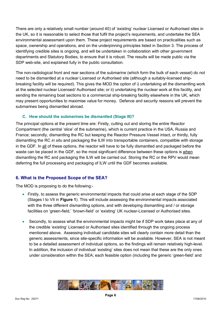There are only a relatively small number (around 40) of 'existing' nuclear Licensed or Authorised sites in the UK, so it is reasonable to select those that fulfil the project's requirements, and undertake the SEA environmental assessment upon them. These project requirements are based on practicalities such as space, ownership and operations, and on the underpinning principles listed in Section 3. The process of identifying credible sites is ongoing, and will be undertaken in collaboration with other government departments and Statutory Bodies, to ensure that it is robust. The results will be made public via the SDP web-site, and explained fully in the public consultation.

The non-radiological front and rear sections of the submarine (which form the bulk of each vessel) do not need to be dismantled at a nuclear Licensed or Authorised site (although a suitably-licensed shipbreaking facility will be required). This gives the MOD the option of i) undertaking all the dismantling work at the selected nuclear Licensed/ Authorised site; or ii) undertaking the nuclear work at this facility, and sending the remaining boat sections to a commercial ship-breaking facility elsewhere in the UK, which may present opportunities to maximise value for money. Defence and security reasons will prevent the submarines being dismantled abroad.

#### **C. How should the submarines be dismantled (Stage III)?**

The principal options at the present time are: Firstly, cutting out and storing the entire Reactor Compartment (the central 'slice' of the submarine), which is current practice in the USA, Russia and France; secondly, dismantling the RC but keeping the Reactor Pressure Vessel intact, or thirdly, fully dismantling the RC *in situ* and packaging the ILW into transportable containers, compatible with storage in the GDF. In all of these options, the reactor will have to be fully dismantled and packaged before the waste can be placed in the GDF, so the most significant difference between these options is when dismantling the RC and packaging the ILW will be carried out. Storing the RC or the RPV would mean deferring the full processing and packaging of ILW until the GDF becomes available.

#### **6. What is the Proposed Scope of the SEA?**

The MOD is proposing to do the following:-

- · Firstly, to assess the generic environmental impacts that could arise at each stage of the SDP (Stages I to VII in **Figure 1**). This will include assessing the environmental impacts associated with the three different dismantling options, and with developing dismantling and / or storage facilities on 'green-field,' 'brown-field' or 'existing' UK nuclear-Licensed or Authorised sites.
- Secondly, to assess what the environmental impacts might be if SDP work takes place at any of the credible 'existing' Licensed or Authorised sites identified through the ongoing process mentioned above. Assessing individual candidate sites will clearly contain more detail than the generic assessments, since site-specific information will be available. However, SEA is not meant to be a detailed assessment of individual options, so the findings will remain relatively high-level. In addition, the inclusion of individual 'existing' sites does not mean that these are the only ones under consideration within the SEA; each feasible option (including the generic 'green-field' and

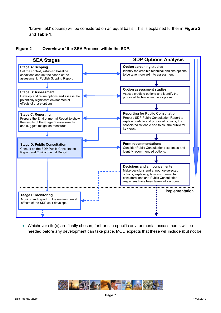'brown-field' options) will be considered on an equal basis. This is explained further in **Figure 2**  and **Table 1**.





· Whichever site(s) are finally chosen, further site-specific environmental assessments will be needed before any development can take place. MOD expects that these will include (but not be

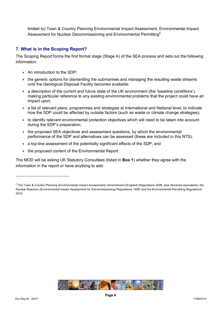limited to) Town & Country Planning Environmental Impact Assessment, Environmental Impact Assessment for Nuclear Decommissioning and Environmental Permitting $6$ .

#### **7. What is in the Scoping Report?**

The Scoping Report forms the first formal stage (Stage A) of the SEA process and sets out the following information:

- An introduction to the SDP;
- the generic options for dismantling the submarines and managing the resulting waste streams until the Geological Disposal Facility becomes available;
- · a description of the current and future state of the UK environment (the 'baseline conditions'), making particular reference to any existing environmental problems that the project could have an impact upon;
- · a list of relevant plans, programmes and strategies at International and National level, to indicate how the SDP could be affected by outside factors (such as waste or climate change strategies);
- to identify relevant environmental protection objectives which will need to be taken into account during the SDP's preparation;
- the proposed SEA objectives and assessment questions, by which the environmental performance of the SDP and alternatives can be assessed (these are included in this NTS);
- a top-line assessment of the potentially significant effects of the SDP; and
- the proposed content of the Environmental Report.

The MOD will be asking UK Statutory Consultees (listed in **Box 1**) whether they agree with the information in the report or have anything to add.



<sup>&</sup>lt;sup>6</sup> The Town & Country Planning (Environmental Impact Assessment) (Amendment) (England) Regulations 2008, plus devolved equivalents; the Nuclear Reactors (Environmental Impact Assessment for Decommissioning) Regulations 1999; and the Environmental Permitting Regulations 2010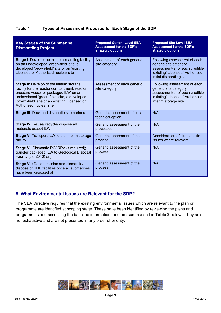| Table 1 | Types of Assessment Proposed for Each Stage of the SDP |  |
|---------|--------------------------------------------------------|--|
|         |                                                        |  |

| <b>Key Stages of the Submarine</b><br><b>Dismantling Project</b>                                                                                                                                                                                                     | <b>Proposed Generi- Level SEA</b><br><b>Assessment for the SDP's</b><br>strategic options | <b>Proposed Site-Level SEA</b><br><b>Assessment for the SDP's</b><br>strategic options                                                                  |
|----------------------------------------------------------------------------------------------------------------------------------------------------------------------------------------------------------------------------------------------------------------------|-------------------------------------------------------------------------------------------|---------------------------------------------------------------------------------------------------------------------------------------------------------|
| Stage I: Develop the initial dismantling facility<br>on an undeveloped 'green-field' site, a<br>developed 'brown-field' site or an 'existing'<br>Licensed or Authorised nuclear site                                                                                 | Assessment of each generic<br>site category                                               | Following assessment of each<br>generic site category,<br>assessment(s) of each credible<br>'existing' Licensed/ Authorised<br>initial dismantling site |
| <b>Stage II:</b> Develop of the interim storage<br>facility for the reactor compartment, reactor<br>pressure vessel or packaged ILW on an<br>undeveloped 'green-field' site, a developed<br>'brown-field' site or an existing Licensed or<br>Authorised nuclear site | Assessment of each generic<br>site category                                               | Following assessment of each<br>generic site category,<br>assessment(s) of each credible<br>'existing' Licensed/ Authorised<br>interim storage site     |
| <b>Stage III: Dock and dismantle submarines</b>                                                                                                                                                                                                                      | Generic assessment of each<br>technical option                                            | N/A                                                                                                                                                     |
| Stage IV: Reuse/ recycle/ dispose all<br>materials except ILW                                                                                                                                                                                                        | Generic assessment of the<br>processes                                                    | N/A                                                                                                                                                     |
| <b>Stage V:</b> Transport ILW to the interim storage<br>facility                                                                                                                                                                                                     | Generic assessment of the<br>process                                                      | Consideration of site-specific<br>issues where relevant                                                                                                 |
| <b>Stage VI: Dismantle RC/ RPV (if required);</b><br>transfer packaged ILW to Geological Disposal<br>Facility (ca. 2040) on)                                                                                                                                         | Generic assessment of the<br>process                                                      | N/A                                                                                                                                                     |
| <b>Stage VII: Decommission and dismantle/</b><br>dispose of SDP facilities once all submarines<br>have been disposed of                                                                                                                                              | Generic assessment of the<br>process                                                      | N/A                                                                                                                                                     |

### **8. What Environmental Issues are Relevant for the SDP?**

The SEA Directive requires that the existing environmental issues which are relevant to the plan or programme are identified at scoping stage. These have been identified by reviewing the plans and programmes and assessing the baseline information, and are summarised in **Table 2** below. They are not exhaustive and are not presented in any order of priority.

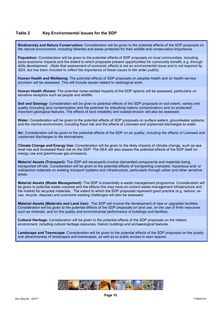#### **Table 2 Key Environmental Issues for the SDP**

**Biodiversity and Nature Conservation:** Consideration will be given to the potential effects of the SDP proposals on the natural environment, including fisheries and areas protected for their wildlife and conservation importance.

**Population:** Consideration will be given to the potential effects of SDP proposals on local communities, including socio-economic impacts and the extent to which proposals present opportunities for community benefit, e.g. through skills development. (Note that assessment of economic effects is not an environmental issue and is not required by *SEA, but has been included to reflect the importance of these issues to the wider public).* 

**Human Health and Wellbeing:** The potential effects of SDP proposals on peoples health and on health service provision will be assessed*.* This will include issues related to radiological work.

**Human Health (Noise):** The potential noise-related impacts of the SDP options will be assessed, particularly on sensitive receptors such as people and wildlife.

**Soil and Geology:** Consideration will be given to potential effects of the SDP proposals on soil extent, variety and quality (including land contamination and the potential for disturbing historic contamination) and on protected/ important geological features. The effects of land instability and coastal erosion will also be assessed.

**Water:** Consideration will be given to the potential effects of SDP proposals on surface waters, groundwater systems and the marine environment, including flood risk and the effects of Licensed and unplanned discharges to water.

**Air:** Consideration will be given to the potential effects of the SDP on air quality, including the effects of Licensed and unplanned discharges to the atmosphere.

**Climate Change and Energy Use:** Consideration will be given to the likely impacts of climate change, such as sea level rise and increased flood risk on the SDP. The SEA will also assess the potential effects of the SDP itself on energy use and greenhouse gas emissions.

**Material Assets (Transport):** The SDP will necessarily involve dismantled components and materials being transported off-site. Consideration will be given to the potential effects of transporting oversized, hazardous and/ or radioactive materials on existing transport systems and infrastructure, particularly through urban and other sensitive areas.

**Material Assets (Waste Management):** The SDP is essentially a waste management programme. Consideration will be given to potential waste volumes and the effects this may have on current waste management infrastructure and the market for recycled materials. The extent to which the SDP proposals represent good practice (e.g. reduce, reuse, recycle, dispose) and overcome existing challenges will also be assessed.

**Material Assets (Materials and Land Use):** The SDP will involve the development of new or upgraded facilities. Consideration will be given to the potential effects of the SDP proposals on land use, on the use of finite resources such as minerals, and on the quality and environmental performance of buildings and facilities.

**Cultural Heritage:** Consideration will be given to the potential effects of the SDP proposals on the historic environment, including cultural heritage resources, historic buildings and archaeological features.

**Landscape and Townscape:** Consideration will be given to the potential effects of the SDP proposals on the quality and attractiveness of landscapes and townscapes, as well as on public access to open spaces.

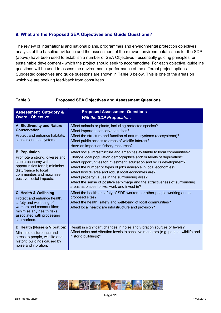#### **9. What are the Proposed SEA Objectives and Guide Questions?**

The review of international and national plans, programmes and environmental protection objectives, analysis of the baseline evidence and the assessment of the relevant environmental issues for the SDP (above) have been used to establish a number of SEA Objectives - essentially guiding principles for sustainable development - which the project should seek to accommodate. For each objective, guideline questions will be used to assess the environmental performance of the different project options. Suggested objectives and guide questions are shown in **Table 3** below. This is one of the areas on which we are seeking feed-back from consultees.

#### **Table 3 Proposed SEA Objectives and Assessment Questions**

| <b>Assessment Category &amp;</b><br><b>Overall Objective</b>                                                                                                                                    | <b>Proposed Assessment Questions</b><br><b>Will the SDP Proposals</b>                                                                                                                                                                                                                                                                                                                                                                                                                                                                     |
|-------------------------------------------------------------------------------------------------------------------------------------------------------------------------------------------------|-------------------------------------------------------------------------------------------------------------------------------------------------------------------------------------------------------------------------------------------------------------------------------------------------------------------------------------------------------------------------------------------------------------------------------------------------------------------------------------------------------------------------------------------|
| A. Biodiversity and Nature<br><b>Conservation</b><br>Protect and enhance habitats.<br>species and ecosystems.                                                                                   | Affect animals or plants, including protected species?<br>Affect important conservation sites?<br>Affect the structure and function of natural systems (ecosystems)?<br>Affect public access to areas of wildlife interest?<br>Have an impact on fishery resources?                                                                                                                                                                                                                                                                       |
| <b>B. Population</b><br>Promote a strong, diverse and<br>stable economy with<br>opportunities for all; minimise<br>disturbance to local<br>communities and maximise<br>positive social impacts. | Affect social infrastructure and amenities available to local communities?<br>Change local population demographics and/ or levels of deprivation?<br>Affect opportunities for investment, education and skills development?<br>Affect the number or types of jobs available in local economies?<br>Affect how diverse and robust local economies are?<br>Affect property values in the surrounding area?<br>Affect the sense of positive self-image and the attractiveness of surrounding<br>areas as places to live, work and invest in? |
| C. Health & Wellbeing<br>Protect and enhance health,<br>safety and wellbeing of<br>workers and communities;<br>minimise any health risks<br>associated with processing<br>submarines.           | Affect the health or safety of SDP workers, or other people working at the<br>proposed sites?<br>Affect the health, safety and well-being of local communities?<br>Affect local healthcare infrastructure and provision?                                                                                                                                                                                                                                                                                                                  |
| D. Health (Noise & Vibration)<br>Minimise disturbance and<br>stress to people, wildlife and<br>historic buildings caused by<br>noise and vibration.                                             | Result in significant changes in noise and vibration sources or levels?<br>Affect noise and vibration levels to sensitive receptors (e.g. people, wildlife and<br>historic buildings)?                                                                                                                                                                                                                                                                                                                                                    |

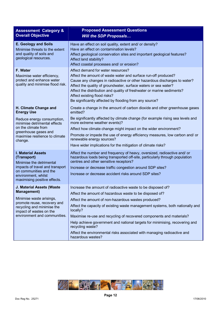| <b>Assessment Category &amp;</b>                                                                                                                                                         | <b>Proposed Assessment Questions</b>                                                                                                                                                                                                                                                                                                                                                                                    |
|------------------------------------------------------------------------------------------------------------------------------------------------------------------------------------------|-------------------------------------------------------------------------------------------------------------------------------------------------------------------------------------------------------------------------------------------------------------------------------------------------------------------------------------------------------------------------------------------------------------------------|
| <b>Overall Objective</b>                                                                                                                                                                 | <b>Will the SDP Proposals</b>                                                                                                                                                                                                                                                                                                                                                                                           |
| <b>E. Geology and Soils</b><br>Minimise threats to the extent<br>and quality of soils and<br>geological resources.                                                                       | Have an effect on soil quality, extent and/ or density?<br>Have an effect on contamination levels?<br>Affect geological conservation sites and important geological features?<br>Affect land stability?<br>Affect coastal processes and/ or erosion?                                                                                                                                                                    |
| F. Water<br>Maximise water efficiency,<br>protect and enhance water<br>quality and minimise flood risk.                                                                                  | Affect demand for water resources?<br>Affect the amount of waste water and surface run-off produced?<br>Cause any changes in radioactive or other hazardous discharges to water?<br>Affect the quality of groundwater, surface waters or sea water?<br>Affect the distribution and quality of freshwater or marine sediments?<br>Affect existing flood risks?<br>Be significantly affected by flooding from any source? |
| H. Climate Change and                                                                                                                                                                    | Create a change in the amount of carbon dioxide and other greenhouse gases                                                                                                                                                                                                                                                                                                                                              |
| <b>Energy Use</b>                                                                                                                                                                        | emitted?                                                                                                                                                                                                                                                                                                                                                                                                                |
| Reduce energy consumption,                                                                                                                                                               | Be significantly affected by climate change (for example rising sea levels and                                                                                                                                                                                                                                                                                                                                          |
| minimise detrimental effects                                                                                                                                                             | more extreme weather events)?                                                                                                                                                                                                                                                                                                                                                                                           |
| on the climate from                                                                                                                                                                      | Affect how climate change might impact on the wider environment?                                                                                                                                                                                                                                                                                                                                                        |
| greenhouse gases and                                                                                                                                                                     | Promote or impede the use of energy efficiency measures, low carbon and/ or                                                                                                                                                                                                                                                                                                                                             |
| maximise resilience to climate                                                                                                                                                           | renewable energy sources?                                                                                                                                                                                                                                                                                                                                                                                               |
| change.                                                                                                                                                                                  | Have wider implications for the mitigation of climate risks?                                                                                                                                                                                                                                                                                                                                                            |
| <b>I. Material Assets</b><br>(Transport)<br>Minimise the detrimental<br>impacts of travel and transport<br>on communities and the<br>environment, whilst<br>maximising positive effects. | Affect the number and frequency of heavy, oversized, radioactive and/ or<br>hazardous loads being transported off-site, particularly through population<br>centres and other sensitive receptors?<br>Increase or decrease traffic congestion around SDP sites?<br>Increase or decrease accident risks around SDP sites?                                                                                                 |
| J. Material Assets (Waste                                                                                                                                                                | Increase the amount of radioactive waste to be disposed of?                                                                                                                                                                                                                                                                                                                                                             |
| <b>Management)</b>                                                                                                                                                                       | Affect the amount of hazardous waste to be disposed of?                                                                                                                                                                                                                                                                                                                                                                 |
| Minimise waste arisings,                                                                                                                                                                 | Affect the amount of non-hazardous wastes produced?                                                                                                                                                                                                                                                                                                                                                                     |
| promote reuse, recovery and                                                                                                                                                              | Affect the capacity of existing waste management systems, both nationally and                                                                                                                                                                                                                                                                                                                                           |
| recycling and minimise the                                                                                                                                                               | locally?                                                                                                                                                                                                                                                                                                                                                                                                                |
| impact of wastes on the                                                                                                                                                                  | Maximise re-use and recycling of recovered components and materials?                                                                                                                                                                                                                                                                                                                                                    |
| environment and communities.                                                                                                                                                             | Help achieve government and national targets for minimising, recovering and                                                                                                                                                                                                                                                                                                                                             |
|                                                                                                                                                                                          | recycling waste?<br>Affect the environmental risks associated with managing radioactive and<br>hazardous wastes?                                                                                                                                                                                                                                                                                                        |

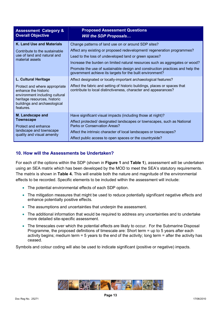| <b>Assessment Category &amp;</b><br><b>Overall Objective</b>                                                                                                                    | <b>Proposed Assessment Questions</b><br><b>Will the SDP Proposals</b>                                                                                                                                                                                                                                                                                    |
|---------------------------------------------------------------------------------------------------------------------------------------------------------------------------------|----------------------------------------------------------------------------------------------------------------------------------------------------------------------------------------------------------------------------------------------------------------------------------------------------------------------------------------------------------|
| K. Land Use and Materials<br>Contribute to the sustainable<br>use of land and natural and<br>material assets                                                                    | Change patterns of land use on or around SDP sites?<br>Affect any existing or proposed redevelopment/ regeneration programmes?<br>Lead to the loss of undeveloped land or green spaces?<br>Increase the burden on limited natural resources such as aggregates or wood?<br>Promote the use of sustainable design and construction practices and help the |
| L. Cultural Heritage<br>Protect and where appropriate<br>enhance the historic<br>environment including cultural<br>heritage resources, historic<br>buildings and archaeological | government achieve its targets for the built environment?<br>Affect designated or locally-important archaeological features?<br>Affect the fabric and setting of historic buildings, places or spaces that<br>contribute to local distinctiveness, character and appearances?                                                                            |
| features.<br>M. Landscape and<br><b>Townscape</b><br>Protect and enhance<br>landscape and townscape<br>quality and visual amenity                                               | Have significant visual impacts (including those at night)?<br>Affect protected/ designated landscapes or townscapes, such as National<br>Parks or Conservation Areas?<br>Affect the intrinsic character of local landscapes or townscapes?<br>Affect public access to open spaces or the countryside?                                                   |

### **10. How will the Assessments be Undertaken?**

For each of the options within the SDP (shown in **Figure 1** and **Table 1**), assessment will be undertaken using an SEA matrix which has been developed by the MOD to meet the SEA's statutory requirements. The matrix is shown in **Table 4.** This will enable both the nature and magnitude of the environmental effects to be recorded. Specific elements to be included within the assessment will include:

- · The potential environmental effects of each SDP option.
- · The mitigation measures that might be used to reduce potentially significant negative effects and enhance potentially positive effects.
- · The assumptions and uncertainties that underpin the assessment.
- The additional information that would be required to address any uncertainties and to undertake more detailed site-specific assessment.
- The timescales over which the potential effects are likely to occur. For the Submarine Disposal Programme, the proposed definitions of timescale are: Short term = up to 5 years after each activity begins; medium term = 5 years to the end of the activity; long term = after the activity has ceased.

Symbols and colour coding will also be used to indicate significant (positive or negative) impacts.

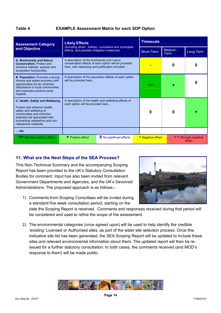#### **Table 4 EXAMPLE Assessment Matrix for each SDP Option**

| <b>Assessment Category</b>                                                                                                                                                                                           | <b>Likely Effects</b>                                                                                                                                   | <b>Timescale</b>                |            |                   |           |                                    |
|----------------------------------------------------------------------------------------------------------------------------------------------------------------------------------------------------------------------|---------------------------------------------------------------------------------------------------------------------------------------------------------|---------------------------------|------------|-------------------|-----------|------------------------------------|
| and Objective                                                                                                                                                                                                        | (including direct, indirect, cumulative and synergistic<br>effects, and possible mitigation measures)                                                   |                                 | Short-Term | Medium-<br>Term   | Long-Term |                                    |
| A. Biodiversity and Nature<br><b>Conservation: Protect and</b><br>enhance habitats, species and<br>ecosystem functionality.                                                                                          | A description of the biodiversity and nature<br>conservation effects of each option will be provided<br>here, with reasoning and justification included |                                 |            | 0                 | 0         |                                    |
| <b>B. Population:</b> Promote a strong.<br>diverse and stable economy with<br>opportunities for all, minimise<br>disturbance to local communities<br>and maximise positive social<br>impacts.                        | A description of the population effects of each option<br>will be provided here                                                                         |                                 | 44         |                   | O         |                                    |
| C. Health, Safety and Wellbeing<br>Protect and enhance health.<br>safety and wellbeing of<br>communities and minimise<br>potential risk associated with<br>processing radioactive and non-<br>radioactive materials. | A description of the health and wellbeing effects of<br>each option will be provided here                                                               |                                 | O          | U                 |           |                                    |
| $$ etc                                                                                                                                                                                                               |                                                                                                                                                         |                                 |            |                   |           |                                    |
| <b>++</b> Strongly positive effect                                                                                                                                                                                   | $\pm$ Positive effect                                                                                                                                   | <b>0</b> No significant effects |            | - Negative effect |           | <b>Strongly negative</b><br>effect |

#### **11. What are the Next Steps of the SEA Process?**

This Non-Technical Summary and the accompanying Scoping Report has been provided to the UK's Statutory Consultation Bodies for comment. Input has also been invited from relevant Government Departments and Agencies, and the UK's Devolved Administrations. The proposed approach is as follows:-



1) Comments from Scoping Consultees will be invited during a standard five week consultation period, starting on the

date the Scoping Report is received. Comments and responses received during that period will be considered and used to refine the scope of the assessment.

2) The environmental categories (once agreed upon) will be used to help identify the credible 'existing' Licensed or Authorised sites, as part of the wider site selection process. Once this indicative site list has been generated, the SEA Scoping Report will be updated to include these sites and relevant environmental information about them. The updated report will then be reissued for a further statutory consultation. In both cases, the comments received (and MOD's response to them) will be made public.

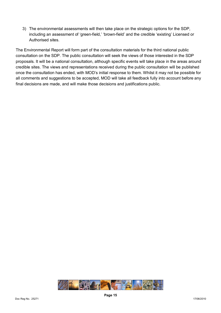3) The environmental assessments will then take place on the strategic options for the SDP, including an assessment of 'green-field,' 'brown-field' and the credible 'existing' Licensed or Authorised sites.

The Environmental Report will form part of the consultation materials for the third national public consultation on the SDP. The public consultation will seek the views of those interested in the SDP proposals. It will be a national consultation, although specific events will take place in the areas around credible sites. The views and representations received during the public consultation will be published once the consultation has ended, with MOD's initial response to them. Whilst it may not be possible for all comments and suggestions to be accepted, MOD will take all feedback fully into account before any final decisions are made, and will make those decisions and justifications public.

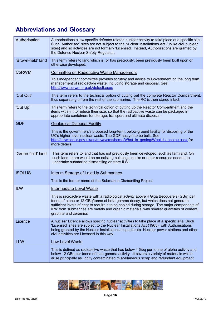## **Abbreviations and Glossary**

| Authorisation      | Authorisations allow specific defence-related nuclear activity to take place at a specific site.<br>Such 'Authorised' sites are not subject to the Nuclear Installations Act (unlike civil nuclear<br>sites) and so activities are not formally 'Licensed.' Instead, Authorisations are granted by<br>the Defence Nuclear Safety Regulator.                                                       |
|--------------------|---------------------------------------------------------------------------------------------------------------------------------------------------------------------------------------------------------------------------------------------------------------------------------------------------------------------------------------------------------------------------------------------------|
| 'Brown-field' land | This term refers to land which is, or has preciously, been previously been built upon or<br>otherwise developed.                                                                                                                                                                                                                                                                                  |
| <b>CoRWM</b>       | Committee on Radioactive Waste Management                                                                                                                                                                                                                                                                                                                                                         |
|                    | This independent committee provides scrutiny and advice to Government on the long term<br>management of radioactive waste, including storage and disposal. See<br>http://www.corwm.org.uk/default.aspx                                                                                                                                                                                            |
| 'Cut Out'          | This term refers to the technical option of cutting out the complete Reactor Compartment,<br>thus separating it from the rest of the submarine. The RC is then stored intact.                                                                                                                                                                                                                     |
| 'Cut Up'           | This term refers to the technical option of cutting up the Reactor Compartment and the<br>items within it to reduce their size, so that the radioactive waste can be packaged in<br>appropriate containers for storage, transport and ultimate disposal.                                                                                                                                          |
| <b>GDF</b>         | <b>Geological Disposal Facility</b>                                                                                                                                                                                                                                                                                                                                                               |
|                    | This is the government's proposed long-term, below-ground facility for disposing of the<br>UK's higher-level nuclear waste. The GDF has yet to be built. See<br>http://mrws.decc.gov.uk/en/mrws/cms/home/What is geolog/What is geolog.aspx for<br>more details.                                                                                                                                  |
| 'Green-field' land | This term refers to land that has not previously been developed, such as farmland. On<br>such land, there would be no existing buildings, docks or other resources needed to<br>undertake submarine dismantling or store ILW.                                                                                                                                                                     |
| <b>ISOLUS</b>      | <b>Interim Storage of Laid-Up Submarines</b>                                                                                                                                                                                                                                                                                                                                                      |
|                    | This is the former name of the Submarine Dismantling Project.                                                                                                                                                                                                                                                                                                                                     |
| <b>ILW</b>         | Intermediate-Level Waste                                                                                                                                                                                                                                                                                                                                                                          |
|                    | This is radioactive waste with a radiological activity above 4 Giga Becquerels (GBq) per<br>tonne of alpha or 12 GBq/tonne of beta-gamma decay, but which does not generate<br>sufficient levels of heat to require it to be cooled during storage. The major components of<br>ILW from submarines are metals and organic materials, with smaller quantities of cement,<br>graphite and ceramics. |
| Licence            | A nuclear Licence allows specific nuclear activities to take place at a specific site. Such<br>'Licensed' sites are subject to the Nuclear Installations Act (1965), with Authorisations<br>being granted by the Nuclear Installations Inspectorate. Nuclear power stations and other<br>civil activities are Licensed in this way.                                                               |
| <b>LLW</b>         | Low-Level Waste                                                                                                                                                                                                                                                                                                                                                                                   |
|                    | This is defined as radioactive waste that has below 4 Gbq per tonne of alpha activity and<br>below 12 GBq per tonne of beta-gamma activity. It covers a variety of materials which<br>arise principally as lightly contaminated miscellaneous scrap and redundant equipment.                                                                                                                      |